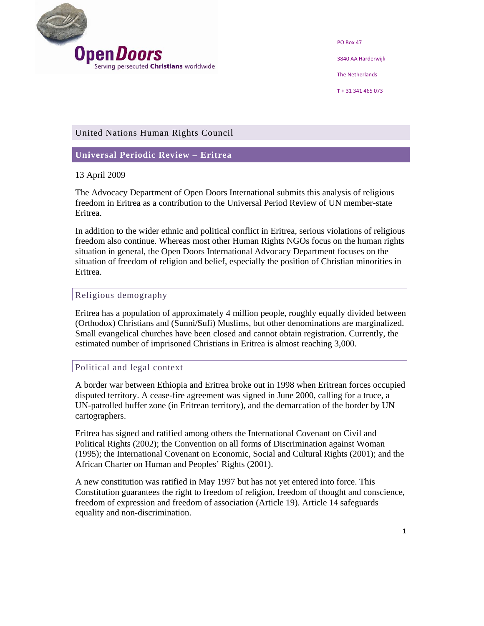

PO Box 47 3840 AA Harderwijk The Netherlands

**T** + 31 341 465 073

# United Nations Human Rights Council

# **Universal Periodic Review – Eritrea**

#### 13 April 2009

The Advocacy Department of Open Doors International submits this analysis of religious freedom in Eritrea as a contribution to the Universal Period Review of UN member-state Eritrea.

In addition to the wider ethnic and political conflict in Eritrea, serious violations of religious freedom also continue. Whereas most other Human Rights NGOs focus on the human rights situation in general, the Open Doors International Advocacy Department focuses on the situation of freedom of religion and belief, especially the position of Christian minorities in Eritrea.

### Religious demography

Eritrea has a population of approximately 4 million people, roughly equally divided between (Orthodox) Christians and (Sunni/Sufi) Muslims, but other denominations are marginalized. Small evangelical churches have been closed and cannot obtain registration. Currently, the estimated number of imprisoned Christians in Eritrea is almost reaching 3,000.

# Political and legal context

A border war between Ethiopia and Eritrea broke out in 1998 when Eritrean forces occupied disputed territory. A cease-fire agreement was signed in June 2000, calling for a truce, a UN-patrolled buffer zone (in Eritrean territory), and the demarcation of the border by UN cartographers.

Eritrea has signed and ratified among others the International Covenant on Civil and Political Rights (2002); the Convention on all forms of Discrimination against Woman (1995); the International Covenant on Economic, Social and Cultural Rights (2001); and the African Charter on Human and Peoples' Rights (2001).

A new constitution was ratified in May 1997 but has not yet entered into force. This Constitution guarantees the right to freedom of religion, freedom of thought and conscience, freedom of expression and freedom of association (Article 19). Article 14 safeguards equality and non-discrimination.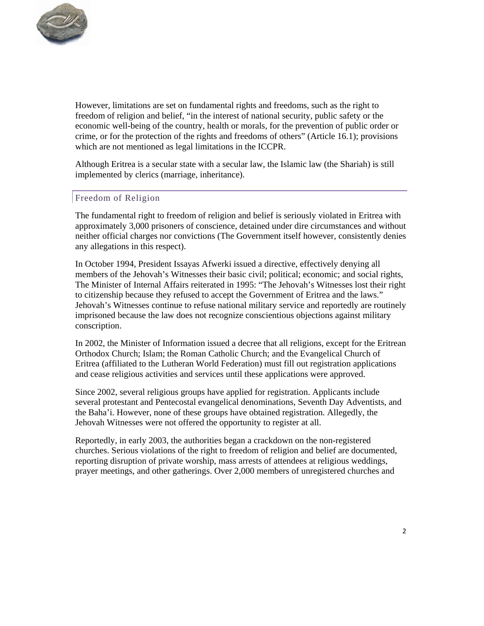

However, limitations are set on fundamental rights and freedoms, such as the right to freedom of religion and belief, "in the interest of national security, public safety or the economic well-being of the country, health or morals, for the prevention of public order or crime, or for the protection of the rights and freedoms of others" (Article 16.1); provisions which are not mentioned as legal limitations in the ICCPR.

Although Eritrea is a secular state with a secular law, the Islamic law (the Shariah) is still implemented by clerics (marriage, inheritance).

### Freedom of Religion

The fundamental right to freedom of religion and belief is seriously violated in Eritrea with approximately 3,000 prisoners of conscience, detained under dire circumstances and without neither official charges nor convictions (The Government itself however, consistently denies any allegations in this respect).

In October 1994, President Issayas Afwerki issued a directive, effectively denying all members of the Jehovah's Witnesses their basic civil; political; economic; and social rights, The Minister of Internal Affairs reiterated in 1995: "The Jehovah's Witnesses lost their right to citizenship because they refused to accept the Government of Eritrea and the laws." Jehovah's Witnesses continue to refuse national military service and reportedly are routinely imprisoned because the law does not recognize conscientious objections against military conscription.

In 2002, the Minister of Information issued a decree that all religions, except for the Eritrean Orthodox Church; Islam; the Roman Catholic Church; and the Evangelical Church of Eritrea (affiliated to the Lutheran World Federation) must fill out registration applications and cease religious activities and services until these applications were approved.

Since 2002, several religious groups have applied for registration. Applicants include several protestant and Pentecostal evangelical denominations, Seventh Day Adventists, and the Baha'i. However, none of these groups have obtained registration. Allegedly, the Jehovah Witnesses were not offered the opportunity to register at all.

Reportedly, in early 2003, the authorities began a crackdown on the non-registered churches. Serious violations of the right to freedom of religion and belief are documented, reporting disruption of private worship, mass arrests of attendees at religious weddings, prayer meetings, and other gatherings. Over 2,000 members of unregistered churches and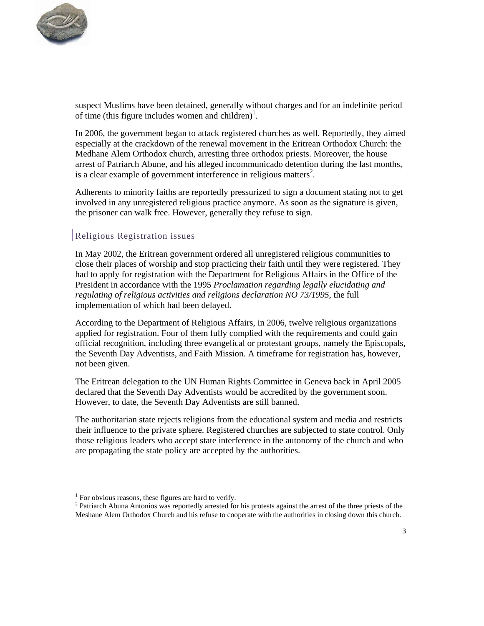

suspect Muslims have been detained, generally without charges and for an indefinite period of time (this figure includes women and children)<sup>1</sup>.

In 2006, the government began to attack registered churches as well. Reportedly, they aimed especially at the crackdown of the renewal movement in the Eritrean Orthodox Church: the Medhane Alem Orthodox church, arresting three orthodox priests. Moreover, the house arrest of Patriarch Abune, and his alleged incommunicado detention during the last months, is a clear example of government interference in religious matters<sup>2</sup>.

Adherents to minority faiths are reportedly pressurized to sign a document stating not to get involved in any unregistered religious practice anymore. As soon as the signature is given, the prisoner can walk free. However, generally they refuse to sign.

#### Religious Registration issues

In May 2002, the Eritrean government ordered all unregistered religious communities to close their places of worship and stop practicing their faith until they were registered. They had to apply for registration with the Department for Religious Affairs in the Office of the President in accordance with the 1995 *Proclamation regarding legally elucidating and regulating of religious activities and religions declaration NO 73/1995*, the full implementation of which had been delayed.

According to the Department of Religious Affairs, in 2006, twelve religious organizations applied for registration. Four of them fully complied with the requirements and could gain official recognition, including three evangelical or protestant groups, namely the Episcopals, the Seventh Day Adventists, and Faith Mission. A timeframe for registration has, however, not been given.

The Eritrean delegation to the UN Human Rights Committee in Geneva back in April 2005 declared that the Seventh Day Adventists would be accredited by the government soon. However, to date, the Seventh Day Adventists are still banned.

The authoritarian state rejects religions from the educational system and media and restricts their influence to the private sphere. Registered churches are subjected to state control. Only those religious leaders who accept state interference in the autonomy of the church and who are propagating the state policy are accepted by the authorities.

 $1$  For obvious reasons, these figures are hard to verify.

<sup>&</sup>lt;sup>2</sup> Patriarch Abuna Antonios was reportedly arrested for his protests against the arrest of the three priests of the Meshane Alem Orthodox Church and his refuse to cooperate with the authorities in closing down this church.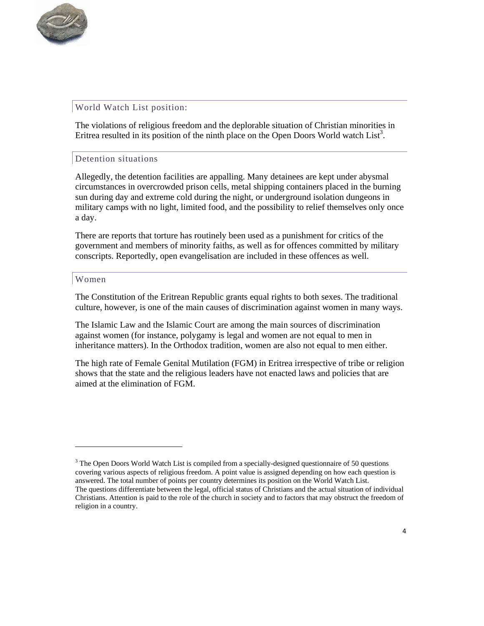

# World Watch List position:

<u> 1989 - Johann Barn, mars ar breithinn ar chuid ann an t-</u>

The violations of religious freedom and the deplorable situation of Christian minorities in Eritrea resulted in its position of the ninth place on the Open Doors World watch  $List<sup>3</sup>$ .

#### Detention situations

Allegedly, the detention facilities are appalling. Many detainees are kept under abysmal circumstances in overcrowded prison cells, metal shipping containers placed in the burning sun during day and extreme cold during the night, or underground isolation dungeons in military camps with no light, limited food, and the possibility to relief themselves only once a day.

There are reports that torture has routinely been used as a punishment for critics of the government and members of minority faiths, as well as for offences committed by military conscripts. Reportedly, open evangelisation are included in these offences as well.

#### Women

The Constitution of the Eritrean Republic grants equal rights to both sexes. The traditional culture, however, is one of the main causes of discrimination against women in many ways.

The Islamic Law and the Islamic Court are among the main sources of discrimination against women (for instance, polygamy is legal and women are not equal to men in inheritance matters). In the Orthodox tradition, women are also not equal to men either.

The high rate of Female Genital Mutilation (FGM) in Eritrea irrespective of tribe or religion shows that the state and the religious leaders have not enacted laws and policies that are aimed at the elimination of FGM.

<sup>&</sup>lt;sup>3</sup> The Open Doors World Watch List is compiled from a specially-designed questionnaire of 50 questions covering various aspects of religious freedom. A point value is assigned depending on how each question is answered. The total number of points per country determines its position on the World Watch List. The questions differentiate between the legal, official status of Christians and the actual situation of individual Christians. Attention is paid to the role of the church in society and to factors that may obstruct the freedom of religion in a country.